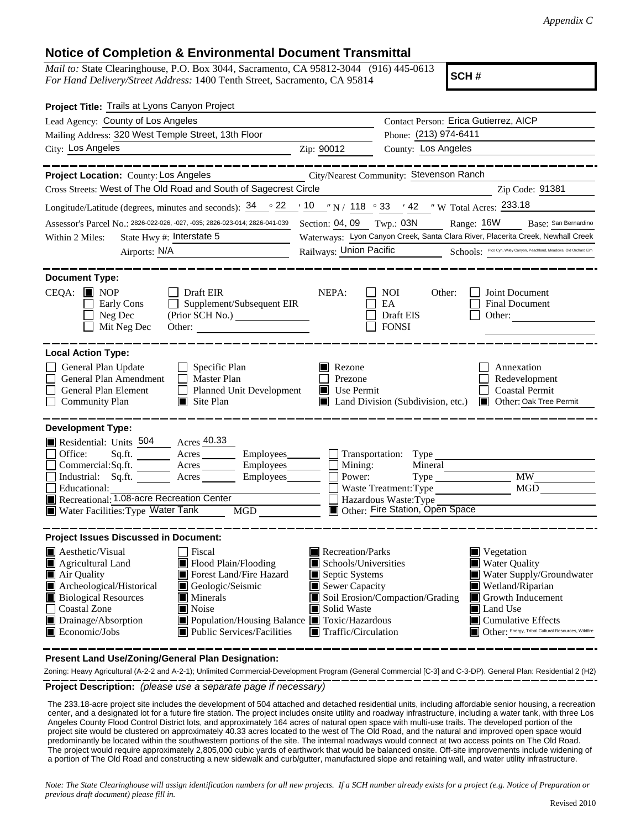## **Notice of Completion & Environmental Document Transmittal**

*Mail to:* State Clearinghouse, P.O. Box 3044, Sacramento, CA 95812-3044 (916) 445-0613 *For Hand Delivery/Street Address:* 1400 Tenth Street, Sacramento, CA 95814

**SCH #**

| Project Title: Trails at Lyons Canyon Project                                                                                                                                                                                                                                                                                                                                           |                                                                                                                                   |                                                                                              |                                                                                                                                                                                                                                              |  |  |  |  |
|-----------------------------------------------------------------------------------------------------------------------------------------------------------------------------------------------------------------------------------------------------------------------------------------------------------------------------------------------------------------------------------------|-----------------------------------------------------------------------------------------------------------------------------------|----------------------------------------------------------------------------------------------|----------------------------------------------------------------------------------------------------------------------------------------------------------------------------------------------------------------------------------------------|--|--|--|--|
| Lead Agency: County of Los Angeles                                                                                                                                                                                                                                                                                                                                                      | Contact Person: Erica Gutierrez, AICP                                                                                             |                                                                                              |                                                                                                                                                                                                                                              |  |  |  |  |
| Mailing Address: 320 West Temple Street, 13th Floor                                                                                                                                                                                                                                                                                                                                     | Phone: (213) 974-6411                                                                                                             |                                                                                              |                                                                                                                                                                                                                                              |  |  |  |  |
| City: Los Angeles                                                                                                                                                                                                                                                                                                                                                                       | County: Los Angeles<br>Zip: 90012                                                                                                 |                                                                                              |                                                                                                                                                                                                                                              |  |  |  |  |
| Project Location: County: Los Angeles                                                                                                                                                                                                                                                                                                                                                   |                                                                                                                                   | City/Nearest Community: Stevenson Ranch                                                      |                                                                                                                                                                                                                                              |  |  |  |  |
| Cross Streets: West of The Old Road and South of Sagecrest Circle<br>Zip Code: 91381                                                                                                                                                                                                                                                                                                    |                                                                                                                                   |                                                                                              |                                                                                                                                                                                                                                              |  |  |  |  |
| Longitude/Latitude (degrees, minutes and seconds): $34 \degree$ $22 \degree$ $10 \degree$ N / 118 $\degree$ 33 $\degree$ 42 $\degree$ W Total Acres: 233.18                                                                                                                                                                                                                             |                                                                                                                                   |                                                                                              |                                                                                                                                                                                                                                              |  |  |  |  |
| Assessor's Parcel No.: 2826-022-026, -027, -035; 2826-023-014; 2826-041-039                                                                                                                                                                                                                                                                                                             | Section: 04, 09 Twp.: 03N<br>Range: 16W<br>Base: San Bernardino                                                                   |                                                                                              |                                                                                                                                                                                                                                              |  |  |  |  |
| State Hwy #: Interstate 5<br>Within 2 Miles:                                                                                                                                                                                                                                                                                                                                            | Waterways: Lyon Canyon Creek, Santa Clara River, Placerita Creek, Newhall Creek                                                   |                                                                                              |                                                                                                                                                                                                                                              |  |  |  |  |
| Airports: N/A                                                                                                                                                                                                                                                                                                                                                                           | Schools: Pico Cyn, Wiley Canyon, Peachland, Meadows, Old Orchard Elm<br>Railways: Union Pacific                                   |                                                                                              |                                                                                                                                                                                                                                              |  |  |  |  |
| <b>Document Type:</b><br>$CEQA:$ MOP<br>Draft EIR<br>$\Box$ Supplement/Subsequent EIR<br>Early Cons<br>Neg Dec<br>Mit Neg Dec                                                                                                                                                                                                                                                           | NEPA:                                                                                                                             | <b>NOI</b><br>Other:<br>EA<br>Draft EIS<br><b>FONSI</b>                                      | Joint Document<br>Final Document<br>Other:                                                                                                                                                                                                   |  |  |  |  |
| <b>Local Action Type:</b>                                                                                                                                                                                                                                                                                                                                                               |                                                                                                                                   |                                                                                              |                                                                                                                                                                                                                                              |  |  |  |  |
| General Plan Update<br>$\Box$ Specific Plan<br>General Plan Amendment<br>$\Box$ Master Plan<br>General Plan Element<br>Planned Unit Development<br>$\blacksquare$ Site Plan<br><b>Community Plan</b>                                                                                                                                                                                    | Rezone<br>Prezone<br>$\blacksquare$ Use Permit                                                                                    | Land Division (Subdivision, etc.)                                                            | Annexation<br>Redevelopment<br><b>Coastal Permit</b><br>Other: Oak Tree Permit                                                                                                                                                               |  |  |  |  |
| <b>Development Type:</b><br>Residential: Units 504 Acres 40.33<br>Office:<br>Sq.ft. ________ Acres __________ Employees_________ ___ Transportation: Type ___<br>Commercial:Sq.ft. <u>Acres</u> Acres Employees<br>Industrial: Sq.ft. Acres Employees<br>Educational:<br>Recreational: 1.08-acre Recreation Center<br>Water Facilities: Type Water Tank<br>MGD NG                       | $\Box$ Mining:<br>Power:                                                                                                          | Mineral<br>Waste Treatment: Type<br>Hazardous Waste: Type<br>Other: Fire Station, Open Space | MW<br>MGD                                                                                                                                                                                                                                    |  |  |  |  |
| <b>Project Issues Discussed in Document:</b>                                                                                                                                                                                                                                                                                                                                            |                                                                                                                                   |                                                                                              |                                                                                                                                                                                                                                              |  |  |  |  |
| Aesthetic/Visual<br><b>Fiscal</b><br>Agricultural Land<br>Flood Plain/Flooding<br>Forest Land/Fire Hazard<br>Air Quality<br>Archeological/Historical<br>Geologic/Seismic<br>Biological Resources<br>$\blacksquare$ Minerals<br>Coastal Zone<br>Noise<br>Drainage/Absorption<br>Population/Housing Balance Toxic/Hazardous<br>Economic/Jobs<br>$\blacksquare$ Public Services/Facilities | Recreation/Parks<br>Schools/Universities<br>Septic Systems<br>Sewer Capacity<br>Solid Waste<br>$\blacksquare$ Traffic/Circulation | Soil Erosion/Compaction/Grading                                                              | $\blacksquare$ Vegetation<br><b>Water Quality</b><br>Water Supply/Groundwater<br>Wetland/Riparian<br>$\blacksquare$ Growth Inducement<br>Land Use<br>$\blacksquare$ Cumulative Effects<br>Other: Energy, Tribal Cultural Resources, Wildfire |  |  |  |  |

**Present Land Use/Zoning/General Plan Designation:**

**Project Description:** *(please use a separate page if necessary)* Zoning: Heavy Agricultural (A-2-2 and A-2-1); Unlimited Commercial-Development Program (General Commercial [C-3] and C-3-DP). General Plan: Residential 2 (H2)

 The 233.18-acre project site includes the development of 504 attached and detached residential units, including affordable senior housing, a recreation center, and a designated lot for a future fire station. The project includes onsite utility and roadway infrastructure, including a water tank, with three Los Angeles County Flood Control District lots, and approximately 164 acres of natural open space with multi-use trails. The developed portion of the project site would be clustered on approximately 40.33 acres located to the west of The Old Road, and the natural and improved open space would predominantly be located within the southwestern portions of the site. The internal roadways would connect at two access points on The Old Road. The project would require approximately 2,805,000 cubic yards of earthwork that would be balanced onsite. Off-site improvements include widening of a portion of The Old Road and constructing a new sidewalk and curb/gutter, manufactured slope and retaining wall, and water utility infrastructure.

*Note: The State Clearinghouse will assign identification numbers for all new projects. If a SCH number already exists for a project (e.g. Notice of Preparation or previous draft document) please fill in.*